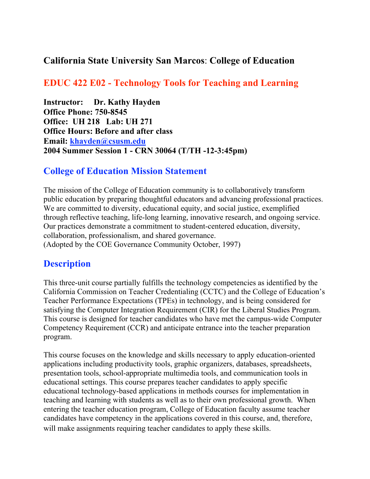#### California State University San Marcos: College of Education

#### EDUC 422 E02 - Technology Tools for Teaching and Learning

Instructor: Dr. Kathy Hayden Office Phone: 750-8545 Office: UH 218 Lab: UH 271 Office Hours: Before and after class Email: khayden@csusm.edu 2004 Summer Session 1 - CRN 30064 (T/TH -12-3:45pm)

#### College of Education Mission Statement

The mission of the College of Education community is to collaboratively transform public education by preparing thoughtful educators and advancing professional practices. We are committed to diversity, educational equity, and social justice, exemplified through reflective teaching, life-long learning, innovative research, and ongoing service. Our practices demonstrate a commitment to student-centered education, diversity, collaboration, professionalism, and shared governance. (Adopted by the COE Governance Community October, 1997)

#### **Description**

This three-unit course partially fulfills the technology competencies as identified by the California Commission on Teacher Credentialing (CCTC) and the College of Education's Teacher Performance Expectations (TPEs) in technology, and is being considered for satisfying the Computer Integration Requirement (CIR) for the Liberal Studies Program. This course is designed for teacher candidates who have met the campus-wide Computer Competency Requirement (CCR) and anticipate entrance into the teacher preparation program.

This course focuses on the knowledge and skills necessary to apply education-oriented applications including productivity tools, graphic organizers, databases, spreadsheets, presentation tools, school-appropriate multimedia tools, and communication tools in educational settings. This course prepares teacher candidates to apply specific educational technology-based applications in methods courses for implementation in teaching and learning with students as well as to their own professional growth. When entering the teacher education program, College of Education faculty assume teacher candidates have competency in the applications covered in this course, and, therefore, will make assignments requiring teacher candidates to apply these skills.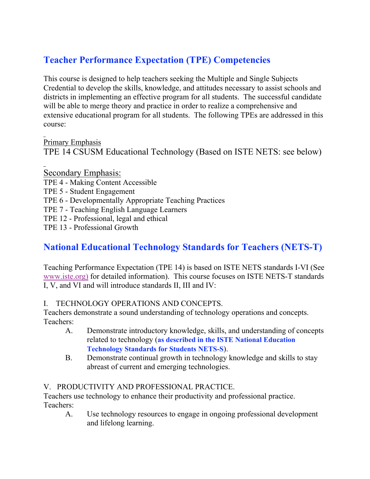# Teacher Performance Expectation (TPE) Competencies

This course is designed to help teachers seeking the Multiple and Single Subjects Credential to develop the skills, knowledge, and attitudes necessary to assist schools and districts in implementing an effective program for all students. The successful candidate will be able to merge theory and practice in order to realize a comprehensive and extensive educational program for all students. The following TPEs are addressed in this course:

Primary Emphasis TPE 14 CSUSM Educational Technology (Based on ISTE NETS: see below)

Secondary Emphasis: TPE 4 - Making Content Accessible TPE 5 - Student Engagement TPE 6 - Developmentally Appropriate Teaching Practices TPE 7 - Teaching English Language Learners TPE 12 - Professional, legal and ethical TPE 13 - Professional Growth

## National Educational Technology Standards for Teachers (NETS-T)

Teaching Performance Expectation (TPE 14) is based on ISTE NETS standards I-VI (See www.iste.org) for detailed information). This course focuses on ISTE NETS-T standards I, V, and VI and will introduce standards II, III and IV:

#### I. TECHNOLOGY OPERATIONS AND CONCEPTS.

Teachers demonstrate a sound understanding of technology operations and concepts. Teachers:

- A. Demonstrate introductory knowledge, skills, and understanding of concepts related to technology (as described in the ISTE National Education Technology Standards for Students NETS-S).
- B. Demonstrate continual growth in technology knowledge and skills to stay abreast of current and emerging technologies.

#### V. PRODUCTIVITY AND PROFESSIONAL PRACTICE.

Teachers use technology to enhance their productivity and professional practice. Teachers:

A. Use technology resources to engage in ongoing professional development and lifelong learning.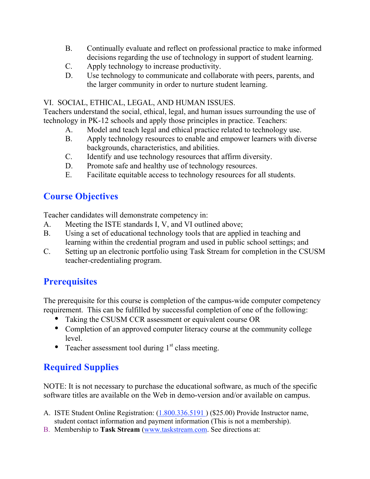- B. Continually evaluate and reflect on professional practice to make informed decisions regarding the use of technology in support of student learning.
- C. Apply technology to increase productivity.
- D. Use technology to communicate and collaborate with peers, parents, and the larger community in order to nurture student learning.

#### VI. SOCIAL, ETHICAL, LEGAL, AND HUMAN ISSUES.

Teachers understand the social, ethical, legal, and human issues surrounding the use of technology in PK-12 schools and apply those principles in practice. Teachers:

- A. Model and teach legal and ethical practice related to technology use.
- B. Apply technology resources to enable and empower learners with diverse backgrounds, characteristics, and abilities.
- C. Identify and use technology resources that affirm diversity.
- D. Promote safe and healthy use of technology resources.
- E. Facilitate equitable access to technology resources for all students.

## Course Objectives

Teacher candidates will demonstrate competency in:

- A. Meeting the ISTE standards I, V, and VI outlined above;
- B. Using a set of educational technology tools that are applied in teaching and learning within the credential program and used in public school settings; and
- C. Setting up an electronic portfolio using Task Stream for completion in the CSUSM teacher-credentialing program.

## **Prerequisites**

The prerequisite for this course is completion of the campus-wide computer competency requirement. This can be fulfilled by successful completion of one of the following:

- Taking the CSUSM CCR assessment or equivalent course OR
- Completion of an approved computer literacy course at the community college level.
- Teacher assessment tool during  $1<sup>st</sup>$  class meeting.

# Required Supplies

NOTE: It is not necessary to purchase the educational software, as much of the specific software titles are available on the Web in demo-version and/or available on campus.

- A. ISTE Student Online Registration: (1.800.336.5191 ) (\$25.00) Provide Instructor name, student contact information and payment information (This is not a membership).
- B. Membership to Task Stream (www.taskstream.com. See directions at: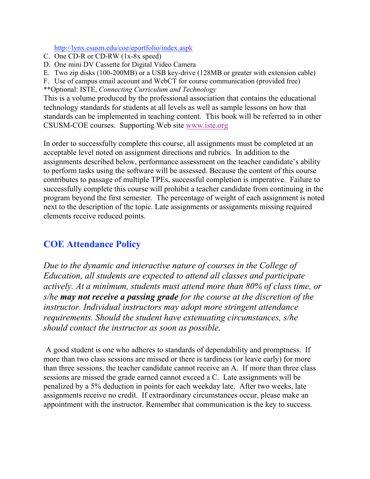http://lynx.csusm.edu/coe/eportfolio/index.aspk

- C. One CD-R or CD-RW (1x-8x speed)
- D. One mini DV Cassette for Digital Video Camera
- E. Two zip disks (100-200MB) or a USB key-drive (128MB or greater with extension cable)
- F. Use of campus email account and WebCT for course communication (provided free) \*\*Optional: ISTE, *Connecting Curriculum and Technology*

This is a volume produced by the professional association that contains the educational technology standards for students at all levels as well as sample lessons on how that standards can be implemented in teaching content. This book will be referred to in other CSUSM-COE courses. Supporting Web site www.iste.org

In order to successfully complete this course, all assignments must be completed at an acceptable level noted on assignment directions and rubrics. In addition to the assignments described below, performance assessment on the teacher candidate's ability to perform tasks using the software will be assessed. Because the content of this course contributes to passage of multiple TPEs, successful completion is imperative. Failure to successfully complete this course will prohibit a teacher candidate from continuing in the program beyond the first semester. The percentage of weight of each assignment is noted next to the description of the topic. Late assignments or assignments missing required elements receive reduced points.

#### COE Attendance Policy

*Due to the dynamic and interactive nature of courses in the College of Education, all students are expected to attend all classes and participate actively. At a minimum, students must attend more than 80% of class time, or s/he may not receive a passing grade for the course at the discretion of the instructor. Individual instructors may adopt more stringent attendance requirements. Should the student have extenuating circumstances, s/he should contact the instructor as soon as possible.*

A good student is one who adheres to standards of dependability and promptness. If more than two class sessions are missed or there is tardiness (or leave early) for more than three sessions, the teacher candidate cannot receive an A. If more than three class sessions are missed the grade earned cannot exceed a C. Late assignments will be penalized by a 5% deduction in points for each weekday late. After two weeks, late assignments receive no credit. If extraordinary circumstances occur, please make an appointment with the instructor. Remember that communication is the key to success.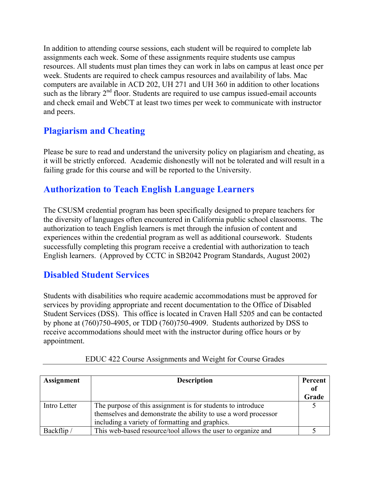In addition to attending course sessions, each student will be required to complete lab assignments each week. Some of these assignments require students use campus resources. All students must plan times they can work in labs on campus at least once per week. Students are required to check campus resources and availability of labs. Mac computers are available in ACD 202, UH 271 and UH 360 in addition to other locations such as the library  $2<sup>nd</sup>$  floor. Students are required to use campus issued-email accounts and check email and WebCT at least two times per week to communicate with instructor and peers.

## Plagiarism and Cheating

Please be sure to read and understand the university policy on plagiarism and cheating, as it will be strictly enforced. Academic dishonestly will not be tolerated and will result in a failing grade for this course and will be reported to the University.

## Authorization to Teach English Language Learners

The CSUSM credential program has been specifically designed to prepare teachers for the diversity of languages often encountered in California public school classrooms. The authorization to teach English learners is met through the infusion of content and experiences within the credential program as well as additional coursework. Students successfully completing this program receive a credential with authorization to teach English learners. (Approved by CCTC in SB2042 Program Standards, August 2002)

#### Disabled Student Services

Students with disabilities who require academic accommodations must be approved for services by providing appropriate and recent documentation to the Office of Disabled Student Services (DSS). This office is located in Craven Hall 5205 and can be contacted by phone at (760)750-4905, or TDD (760)750-4909. Students authorized by DSS to receive accommodations should meet with the instructor during office hours or by appointment.

| Assignment   | <b>Description</b>                                             |       |
|--------------|----------------------------------------------------------------|-------|
|              |                                                                | of    |
|              |                                                                | Grade |
| Intro Letter | The purpose of this assignment is for students to introduce    |       |
|              | themselves and demonstrate the ability to use a word processor |       |
|              | including a variety of formatting and graphics.                |       |
| Backflip/    | This web-based resource/tool allows the user to organize and   |       |

|  | EDUC 422 Course Assignments and Weight for Course Grades |  |  |
|--|----------------------------------------------------------|--|--|
|  |                                                          |  |  |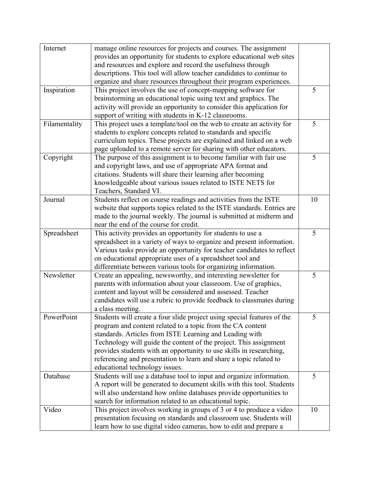| Internet      | manage online resources for projects and courses. The assignment<br>provides an opportunity for students to explore educational web sites |    |
|---------------|-------------------------------------------------------------------------------------------------------------------------------------------|----|
|               | and resources and explore and record the usefulness through                                                                               |    |
|               | descriptions. This tool will allow teacher candidates to continue to                                                                      |    |
|               | organize and share resources throughout their program experiences.                                                                        |    |
| Inspiration   | This project involves the use of concept-mapping software for                                                                             | 5  |
|               | brainstorming an educational topic using text and graphics. The                                                                           |    |
|               |                                                                                                                                           |    |
|               | activity will provide an opportunity to consider this application for                                                                     |    |
|               | support of writing with students in K-12 classrooms.                                                                                      |    |
| Filamentality | This project uses a template/tool on the web to create an activity for                                                                    | 5  |
|               | students to explore concepts related to standards and specific                                                                            |    |
|               | curriculum topics. These projects are explained and linked on a web                                                                       |    |
|               | page uploaded to a remote server for sharing with other educators.                                                                        |    |
| Copyright     | The purpose of this assignment is to become familiar with fair use                                                                        | 5  |
|               | and copyright laws, and use of appropriate APA format and                                                                                 |    |
|               | citations. Students will share their learning after becoming                                                                              |    |
|               | knowledgeable about various issues related to ISTE NETS for                                                                               |    |
|               | Teachers, Standard VI.                                                                                                                    |    |
| Journal       | Students reflect on course readings and activities from the ISTE                                                                          | 10 |
|               | website that supports topics related to the ISTE standards. Entries are                                                                   |    |
|               | made to the journal weekly. The journal is submitted at midterm and                                                                       |    |
|               | near the end of the course for credit.                                                                                                    |    |
| Spreadsheet   | This activity provides an opportunity for students to use a                                                                               | 5  |
|               | spreadsheet in a variety of ways to organize and present information.                                                                     |    |
|               | Various tasks provide an opportunity for teacher candidates to reflect                                                                    |    |
|               | on educational appropriate uses of a spreadsheet tool and                                                                                 |    |
|               | differentiate between various tools for organizing information.                                                                           |    |
| Newsletter    | Create an appealing, newsworthy, and interesting newsletter for                                                                           | 5  |
|               | parents with information about your classroom. Use of graphics,                                                                           |    |
|               | content and layout will be considered and assessed. Teacher                                                                               |    |
|               |                                                                                                                                           |    |
|               | candidates will use a rubric to provide feedback to classmates during                                                                     |    |
|               | a class meeting.                                                                                                                          |    |
| PowerPoint    | Students will create a four slide project using special features of the                                                                   | 5  |
|               | program and content related to a topic from the CA content                                                                                |    |
|               | standards. Articles from ISTE Learning and Leading with                                                                                   |    |
|               | Technology will guide the content of the project. This assignment                                                                         |    |
|               | provides students with an opportunity to use skills in researching,                                                                       |    |
|               | referencing and presentation to learn and share a topic related to                                                                        |    |
|               | educational technology issues.                                                                                                            |    |
| Database      | Students will use a database tool to input and organize information.                                                                      | 5  |
|               | A report will be generated to document skills with this tool. Students                                                                    |    |
|               | will also understand how online databases provide opportunities to                                                                        |    |
|               | search for information related to an educational topic.                                                                                   |    |
| Video         | This project involves working in groups of 3 or 4 to produce a video                                                                      | 10 |
|               | presentation focusing on standards and classroom use. Students will                                                                       |    |
|               | learn how to use digital video cameras, how to edit and prepare a                                                                         |    |